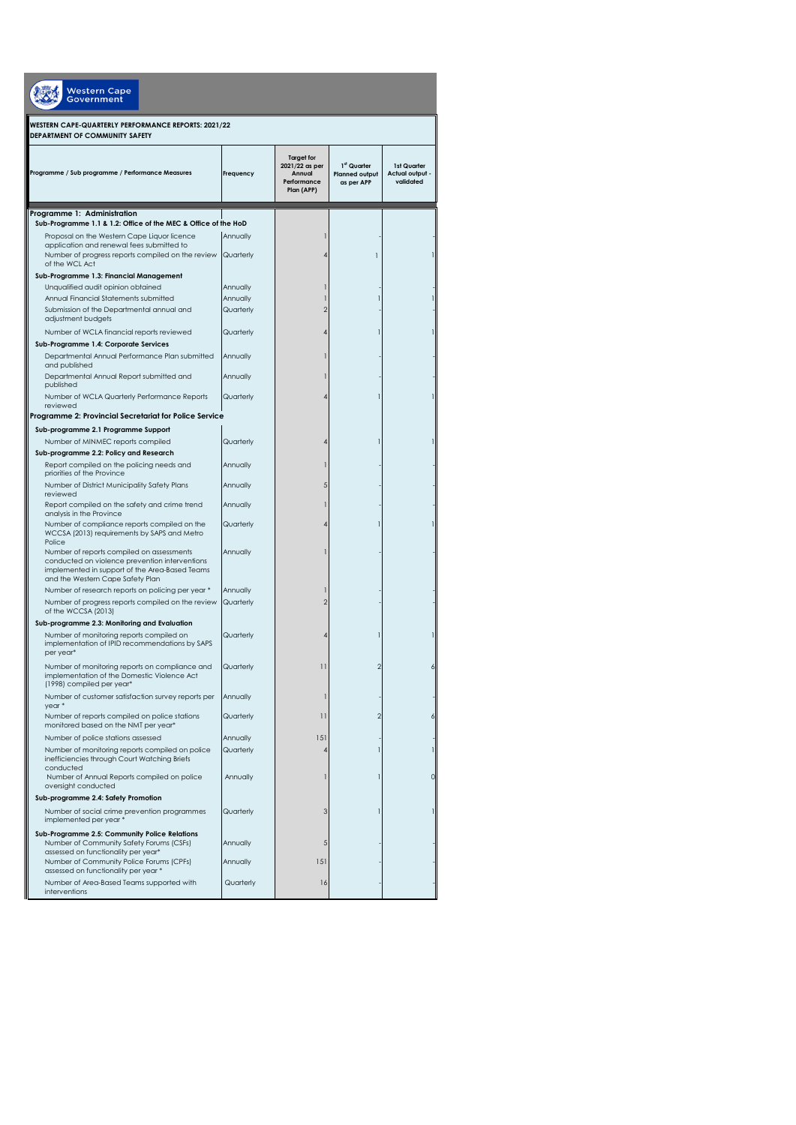| Western Cape<br>Government                                                                  |           |                                                                            |                                                                |                                             |
|---------------------------------------------------------------------------------------------|-----------|----------------------------------------------------------------------------|----------------------------------------------------------------|---------------------------------------------|
| WESTERN CAPE-QUARTERLY PERFORMANCE REPORTS: 2021/22<br>DEPARTMENT OF COMMUNITY SAFETY       |           |                                                                            |                                                                |                                             |
| Programme / Sub programme / Performance Measures                                            | Frequency | <b>Target for</b><br>2021/22 as per<br>Annual<br>Performance<br>Plan (APP) | 1 <sup>st</sup> Quarter<br><b>Planned output</b><br>as per APP | 1st Quarter<br>Actual output -<br>validated |
| Programme 1: Administration                                                                 |           |                                                                            |                                                                |                                             |
| Sub-Programme 1.1 & 1.2: Office of the MEC & Office of the HoD                              |           |                                                                            |                                                                |                                             |
| Proposal on the Western Cape Liquor licence                                                 | Annually  |                                                                            |                                                                |                                             |
| application and renewal fees submitted to                                                   |           |                                                                            |                                                                |                                             |
| Number of progress reports compiled on the review<br>of the WCL Act                         | Quarterly |                                                                            |                                                                |                                             |
| Sub-Programme 1.3: Financial Management                                                     |           |                                                                            |                                                                |                                             |
| Unqualified audit opinion obtained                                                          | Annually  |                                                                            |                                                                |                                             |
| Annual Financial Statements submitted                                                       | Annually  |                                                                            |                                                                |                                             |
| Submission of the Departmental annual and                                                   | Quarterly |                                                                            |                                                                |                                             |
| adjustment budgets                                                                          |           |                                                                            |                                                                |                                             |
| Number of WCLA financial reports reviewed                                                   | Quarterly |                                                                            |                                                                |                                             |
| Sub-Programme 1.4: Corporate Services                                                       |           |                                                                            |                                                                |                                             |
| Departmental Annual Performance Plan submitted                                              | Annually  |                                                                            |                                                                |                                             |
| and published                                                                               |           |                                                                            |                                                                |                                             |
| Departmental Annual Report submitted and<br>published                                       | Annually  |                                                                            |                                                                |                                             |
| Number of WCLA Quarterly Performance Reports                                                | Quarterly |                                                                            |                                                                |                                             |
| reviewed                                                                                    |           |                                                                            |                                                                |                                             |
| Programme 2: Provincial Secretariat for Police Service                                      |           |                                                                            |                                                                |                                             |
| Sub-programme 2.1 Programme Support                                                         |           |                                                                            |                                                                |                                             |
| Number of MINMEC reports compiled                                                           | Quarterly |                                                                            |                                                                |                                             |
| Sub-programme 2.2: Policy and Research                                                      |           |                                                                            |                                                                |                                             |
| Report compiled on the policing needs and                                                   | Annually  |                                                                            |                                                                |                                             |
| priorities of the Province                                                                  |           |                                                                            |                                                                |                                             |
| Number of District Municipality Safety Plans<br>reviewed                                    | Annually  |                                                                            |                                                                |                                             |
| Report compiled on the safety and crime trend                                               | Annually  |                                                                            |                                                                |                                             |
| analysis in the Province                                                                    |           |                                                                            |                                                                |                                             |
| Number of compliance reports compiled on the<br>WCCSA (2013) requirements by SAPS and Metro | Quarterly |                                                                            |                                                                |                                             |
| Police                                                                                      |           |                                                                            |                                                                |                                             |
| Number of reports compiled on assessments<br>conducted on violence prevention interventions | Annually  |                                                                            |                                                                |                                             |
| implemented in support of the Area-Based Teams                                              |           |                                                                            |                                                                |                                             |
| and the Western Cape Safety Plan                                                            |           |                                                                            |                                                                |                                             |
| Number of research reports on policing per year *                                           | Annually  |                                                                            |                                                                |                                             |
| Number of progress reports compiled on the review                                           | Quarterly | 2                                                                          |                                                                |                                             |
| of the WCCSA (2013)                                                                         |           |                                                                            |                                                                |                                             |
| Sub-programme 2.3: Monitoring and Evaluation<br>Number of monitoring reports compiled on    | Quarterly |                                                                            |                                                                |                                             |
| implementation of IPID recommendations by SAPS                                              |           |                                                                            |                                                                |                                             |
| per year*                                                                                   |           |                                                                            |                                                                |                                             |
| Number of monitoring reports on compliance and                                              | Quarterly | 11                                                                         |                                                                |                                             |
| implementation of the Domestic Violence Act                                                 |           |                                                                            |                                                                |                                             |
| (1998) compiled per year*                                                                   |           |                                                                            |                                                                |                                             |
| Number of customer satisfaction survey reports per<br>year*                                 | Annually  |                                                                            |                                                                |                                             |
| Number of reports compiled on police stations                                               | Quarterly | 11                                                                         | $\overline{2}$                                                 |                                             |
| monitored based on the NMT per year*                                                        |           |                                                                            |                                                                |                                             |
| Number of police stations assessed                                                          | Annually  | 151                                                                        |                                                                |                                             |
| Number of monitoring reports compiled on police                                             | Quarterly |                                                                            |                                                                |                                             |
| inefficiencies through Court Watching Briefs                                                |           |                                                                            |                                                                |                                             |
| conducted<br>Number of Annual Reports compiled on police                                    | Annually  |                                                                            |                                                                |                                             |
| oversight conducted                                                                         |           |                                                                            |                                                                |                                             |
| Sub-programme 2.4: Safety Promotion                                                         |           |                                                                            |                                                                |                                             |
| Number of social crime prevention programmes                                                | Quarterly | 3                                                                          |                                                                |                                             |
| implemented per year *                                                                      |           |                                                                            |                                                                |                                             |
| Sub-Programme 2.5: Community Police Relations                                               |           |                                                                            |                                                                |                                             |
| Number of Community Safety Forums (CSFs)<br>assessed on functionality per year*             | Annually  | 5                                                                          |                                                                |                                             |
| Number of Community Police Forums (CPFs)                                                    | Annually  | 151                                                                        |                                                                |                                             |
| assessed on functionality per year *                                                        |           |                                                                            |                                                                |                                             |
| Number of Area-Based Teams supported with                                                   | Quarterly | 16                                                                         |                                                                |                                             |
| interventions                                                                               |           |                                                                            |                                                                |                                             |